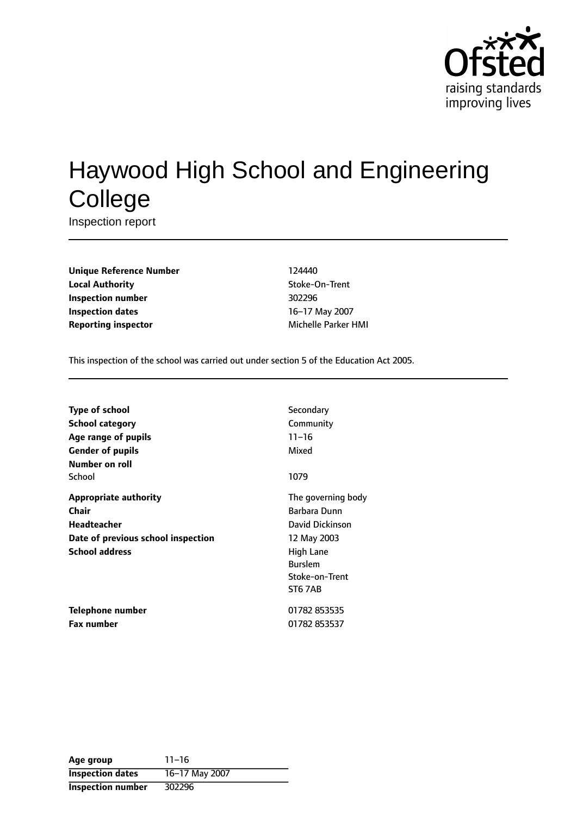

# Haywood High School and Engineering **College**

Inspection report

**Unique Reference Number** 124440 **Local Authority Contains a Stocke-On-Trent Inspection number** 302296 **Inspection dates** 16-17 May 2007 **Reporting inspector** Michelle Parker HMI

This inspection of the school was carried out under section 5 of the Education Act 2005.

| <b>Type of school</b><br><b>School category</b><br>Age range of pupils<br><b>Gender of pupils</b> | Secondary<br>Community<br>$11 - 16$<br>Mixed                 |
|---------------------------------------------------------------------------------------------------|--------------------------------------------------------------|
| Number on roll<br>School                                                                          | 1079                                                         |
| <b>Appropriate authority</b><br>Chair<br>Headteacher                                              | The governing body<br>Barbara Dunn<br>David Dickinson        |
| Date of previous school inspection<br><b>School address</b>                                       | 12 May 2003<br>High Lane<br><b>Burslem</b><br>Stoke-on-Trent |
| Telephone number<br><b>Fax number</b>                                                             | <b>ST6 7AB</b><br>01782 853535<br>01782 853537               |

| Age group                | $11 - 16$      |
|--------------------------|----------------|
| <b>Inspection dates</b>  | 16-17 May 2007 |
| <b>Inspection number</b> | 302296         |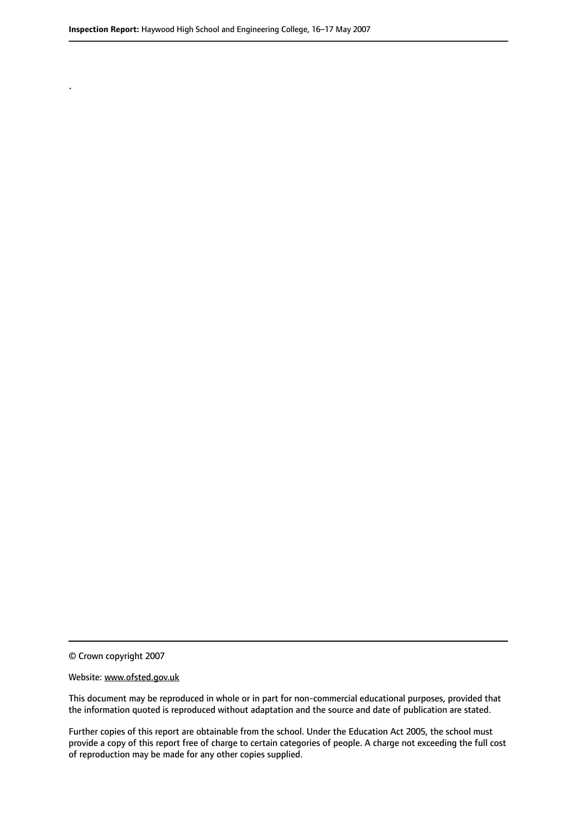© Crown copyright 2007

.

#### Website: www.ofsted.gov.uk

This document may be reproduced in whole or in part for non-commercial educational purposes, provided that the information quoted is reproduced without adaptation and the source and date of publication are stated.

Further copies of this report are obtainable from the school. Under the Education Act 2005, the school must provide a copy of this report free of charge to certain categories of people. A charge not exceeding the full cost of reproduction may be made for any other copies supplied.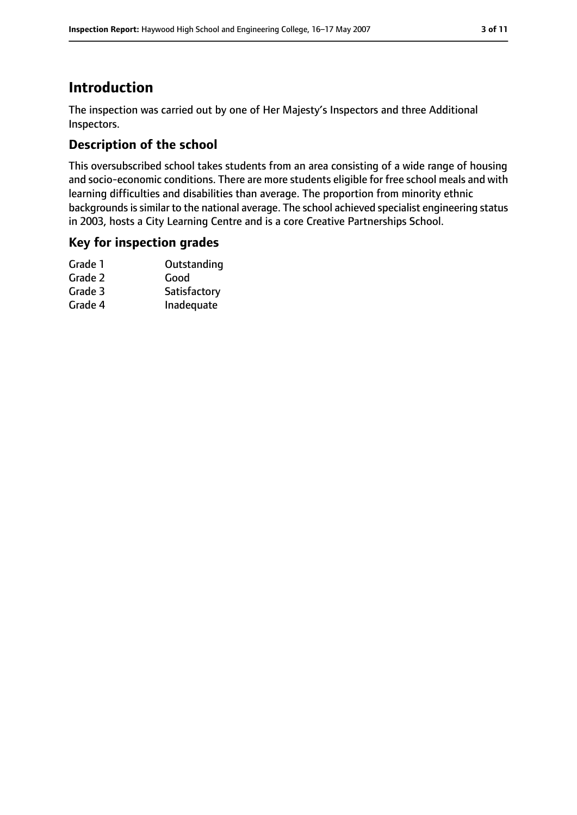## **Introduction**

The inspection was carried out by one of Her Majesty's Inspectors and three Additional Inspectors.

## **Description of the school**

This oversubscribed school takes students from an area consisting of a wide range of housing and socio-economic conditions. There are more students eligible for free school meals and with learning difficulties and disabilities than average. The proportion from minority ethnic backgrounds is similar to the national average. The school achieved specialist engineering status in 2003, hosts a City Learning Centre and is a core Creative Partnerships School.

#### **Key for inspection grades**

| Grade 1 | Outstanding  |
|---------|--------------|
| Grade 2 | Good         |
| Grade 3 | Satisfactory |
| Grade 4 | Inadequate   |
|         |              |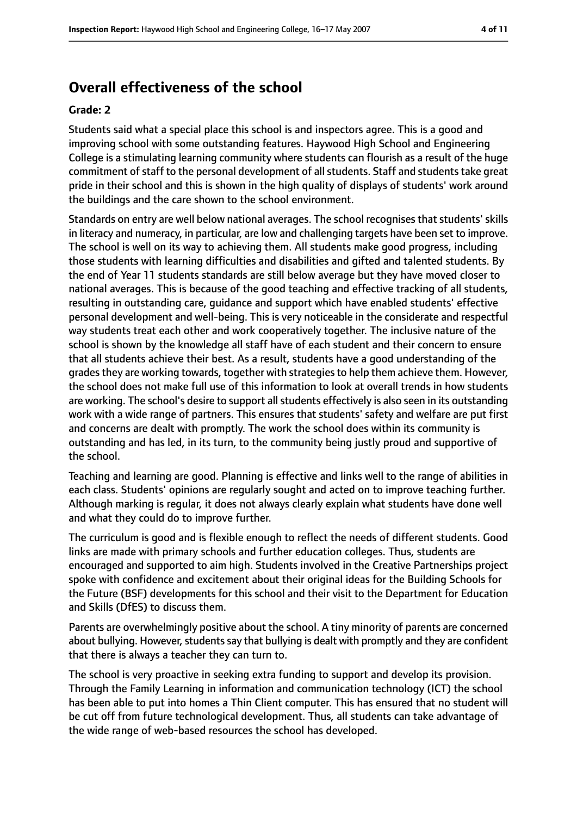# **Overall effectiveness of the school**

#### **Grade: 2**

Students said what a special place this school is and inspectors agree. This is a good and improving school with some outstanding features. Haywood High School and Engineering College is a stimulating learning community where students can flourish as a result of the huge commitment of staff to the personal development of all students. Staff and students take great pride in their school and this is shown in the high quality of displays of students' work around the buildings and the care shown to the school environment.

Standards on entry are well below national averages. The school recognises that students' skills in literacy and numeracy, in particular, are low and challenging targets have been set to improve. The school is well on its way to achieving them. All students make good progress, including those students with learning difficulties and disabilities and gifted and talented students. By the end of Year 11 students standards are still below average but they have moved closer to national averages. This is because of the good teaching and effective tracking of all students, resulting in outstanding care, guidance and support which have enabled students' effective personal development and well-being. This is very noticeable in the considerate and respectful way students treat each other and work cooperatively together. The inclusive nature of the school is shown by the knowledge all staff have of each student and their concern to ensure that all students achieve their best. As a result, students have a good understanding of the grades they are working towards, together with strategies to help them achieve them. However, the school does not make full use of this information to look at overall trends in how students are working. The school's desire to support all students effectively is also seen in its outstanding work with a wide range of partners. This ensures that students' safety and welfare are put first and concerns are dealt with promptly. The work the school does within its community is outstanding and has led, in its turn, to the community being justly proud and supportive of the school.

Teaching and learning are good. Planning is effective and links well to the range of abilities in each class. Students' opinions are regularly sought and acted on to improve teaching further. Although marking is regular, it does not always clearly explain what students have done well and what they could do to improve further.

The curriculum is good and is flexible enough to reflect the needs of different students. Good links are made with primary schools and further education colleges. Thus, students are encouraged and supported to aim high. Students involved in the Creative Partnerships project spoke with confidence and excitement about their original ideas for the Building Schools for the Future (BSF) developments for this school and their visit to the Department for Education and Skills (DfES) to discuss them.

Parents are overwhelmingly positive about the school. A tiny minority of parents are concerned about bullying. However, students say that bullying is dealt with promptly and they are confident that there is always a teacher they can turn to.

The school is very proactive in seeking extra funding to support and develop its provision. Through the Family Learning in information and communication technology (ICT) the school has been able to put into homes a Thin Client computer. This has ensured that no student will be cut off from future technological development. Thus, all students can take advantage of the wide range of web-based resources the school has developed.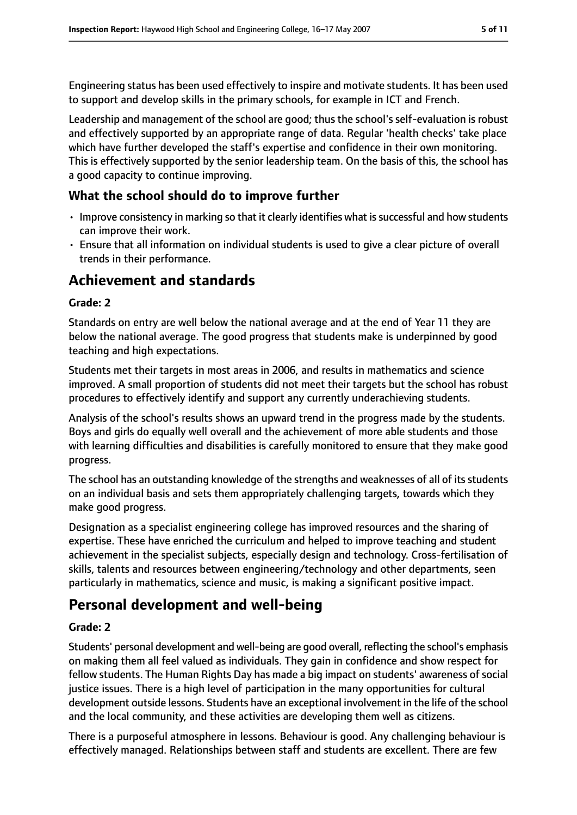Engineering status has been used effectively to inspire and motivate students. It has been used to support and develop skills in the primary schools, for example in ICT and French.

Leadership and management of the school are good; thus the school's self-evaluation is robust and effectively supported by an appropriate range of data. Regular 'health checks' take place which have further developed the staff's expertise and confidence in their own monitoring. This is effectively supported by the senior leadership team. On the basis of this, the school has a good capacity to continue improving.

## **What the school should do to improve further**

- Improve consistency in marking so that it clearly identifies what is successful and how students can improve their work.
- Ensure that all information on individual students is used to give a clear picture of overall trends in their performance.

# **Achievement and standards**

#### **Grade: 2**

Standards on entry are well below the national average and at the end of Year 11 they are below the national average. The good progress that students make is underpinned by good teaching and high expectations.

Students met their targets in most areas in 2006, and results in mathematics and science improved. A small proportion of students did not meet their targets but the school has robust procedures to effectively identify and support any currently underachieving students.

Analysis of the school's results shows an upward trend in the progress made by the students. Boys and girls do equally well overall and the achievement of more able students and those with learning difficulties and disabilities is carefully monitored to ensure that they make good progress.

The school has an outstanding knowledge of the strengths and weaknesses of all of its students on an individual basis and sets them appropriately challenging targets, towards which they make good progress.

Designation as a specialist engineering college has improved resources and the sharing of expertise. These have enriched the curriculum and helped to improve teaching and student achievement in the specialist subjects, especially design and technology. Cross-fertilisation of skills, talents and resources between engineering/technology and other departments, seen particularly in mathematics, science and music, is making a significant positive impact.

# **Personal development and well-being**

#### **Grade: 2**

Students' personal development and well-being are good overall, reflecting the school's emphasis on making them all feel valued as individuals. They gain in confidence and show respect for fellow students. The Human Rights Day has made a big impact on students' awareness of social justice issues. There is a high level of participation in the many opportunities for cultural development outside lessons. Students have an exceptional involvement in the life of the school and the local community, and these activities are developing them well as citizens.

There is a purposeful atmosphere in lessons. Behaviour is good. Any challenging behaviour is effectively managed. Relationships between staff and students are excellent. There are few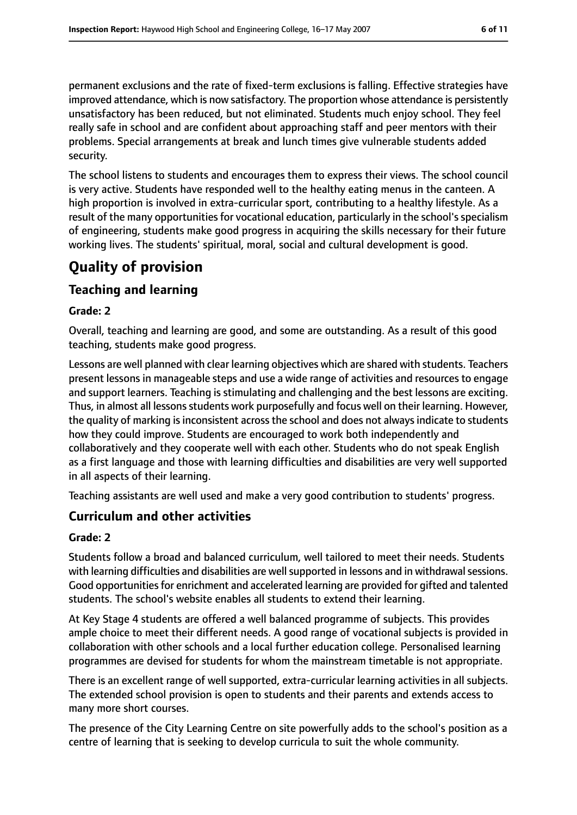permanent exclusions and the rate of fixed-term exclusions is falling. Effective strategies have improved attendance, which is now satisfactory. The proportion whose attendance is persistently unsatisfactory has been reduced, but not eliminated. Students much enjoy school. They feel really safe in school and are confident about approaching staff and peer mentors with their problems. Special arrangements at break and lunch times give vulnerable students added security.

The school listens to students and encourages them to express their views. The school council is very active. Students have responded well to the healthy eating menus in the canteen. A high proportion is involved in extra-curricular sport, contributing to a healthy lifestyle. As a result of the many opportunities for vocational education, particularly in the school's specialism of engineering, students make good progress in acquiring the skills necessary for their future working lives. The students' spiritual, moral, social and cultural development is good.

# **Quality of provision**

## **Teaching and learning**

#### **Grade: 2**

Overall, teaching and learning are good, and some are outstanding. As a result of this good teaching, students make good progress.

Lessons are well planned with clear learning objectives which are shared with students. Teachers present lessons in manageable steps and use a wide range of activities and resources to engage and support learners. Teaching is stimulating and challenging and the best lessons are exciting. Thus, in almost all lessons students work purposefully and focus well on their learning. However, the quality of marking is inconsistent across the school and does not always indicate to students how they could improve. Students are encouraged to work both independently and collaboratively and they cooperate well with each other. Students who do not speak English as a first language and those with learning difficulties and disabilities are very well supported in all aspects of their learning.

Teaching assistants are well used and make a very good contribution to students' progress.

## **Curriculum and other activities**

#### **Grade: 2**

Students follow a broad and balanced curriculum, well tailored to meet their needs. Students with learning difficulties and disabilities are well supported in lessons and in withdrawal sessions. Good opportunities for enrichment and accelerated learning are provided for gifted and talented students. The school's website enables all students to extend their learning.

At Key Stage 4 students are offered a well balanced programme of subjects. This provides ample choice to meet their different needs. A good range of vocational subjects is provided in collaboration with other schools and a local further education college. Personalised learning programmes are devised for students for whom the mainstream timetable is not appropriate.

There is an excellent range of well supported, extra-curricular learning activities in all subjects. The extended school provision is open to students and their parents and extends access to many more short courses.

The presence of the City Learning Centre on site powerfully adds to the school's position as a centre of learning that is seeking to develop curricula to suit the whole community.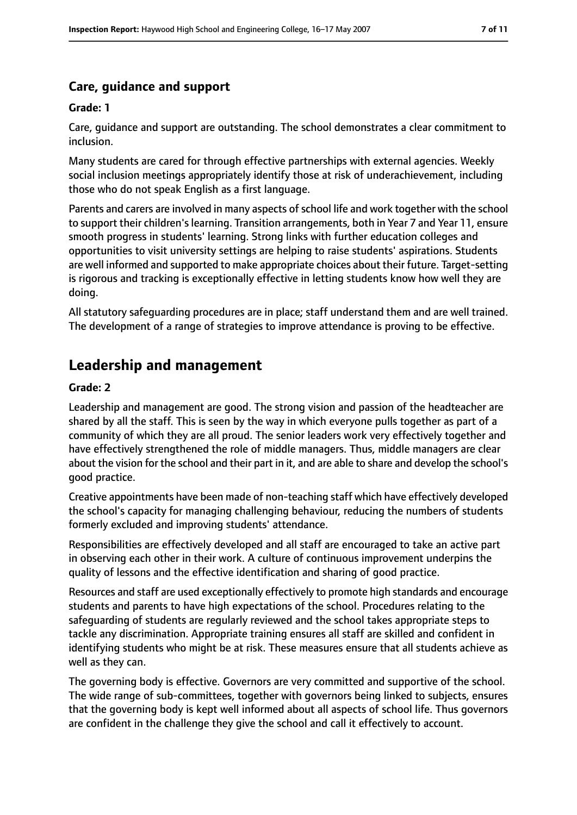#### **Care, guidance and support**

#### **Grade: 1**

Care, guidance and support are outstanding. The school demonstrates a clear commitment to inclusion.

Many students are cared for through effective partnerships with external agencies. Weekly social inclusion meetings appropriately identify those at risk of underachievement, including those who do not speak English as a first language.

Parents and carers are involved in many aspects of school life and work together with the school to support their children's learning. Transition arrangements, both in Year 7 and Year 11, ensure smooth progress in students' learning. Strong links with further education colleges and opportunities to visit university settings are helping to raise students' aspirations. Students are well informed and supported to make appropriate choices about their future. Target-setting is rigorous and tracking is exceptionally effective in letting students know how well they are doing.

All statutory safeguarding procedures are in place; staff understand them and are well trained. The development of a range of strategies to improve attendance is proving to be effective.

## **Leadership and management**

#### **Grade: 2**

Leadership and management are good. The strong vision and passion of the headteacher are shared by all the staff. This is seen by the way in which everyone pulls together as part of a community of which they are all proud. The senior leaders work very effectively together and have effectively strengthened the role of middle managers. Thus, middle managers are clear about the vision for the school and their part in it, and are able to share and develop the school's good practice.

Creative appointments have been made of non-teaching staff which have effectively developed the school's capacity for managing challenging behaviour, reducing the numbers of students formerly excluded and improving students' attendance.

Responsibilities are effectively developed and all staff are encouraged to take an active part in observing each other in their work. A culture of continuous improvement underpins the quality of lessons and the effective identification and sharing of good practice.

Resources and staff are used exceptionally effectively to promote high standards and encourage students and parents to have high expectations of the school. Procedures relating to the safeguarding of students are regularly reviewed and the school takes appropriate steps to tackle any discrimination. Appropriate training ensures all staff are skilled and confident in identifying students who might be at risk. These measures ensure that all students achieve as well as they can.

The governing body is effective. Governors are very committed and supportive of the school. The wide range of sub-committees, together with governors being linked to subjects, ensures that the governing body is kept well informed about all aspects of school life. Thus governors are confident in the challenge they give the school and call it effectively to account.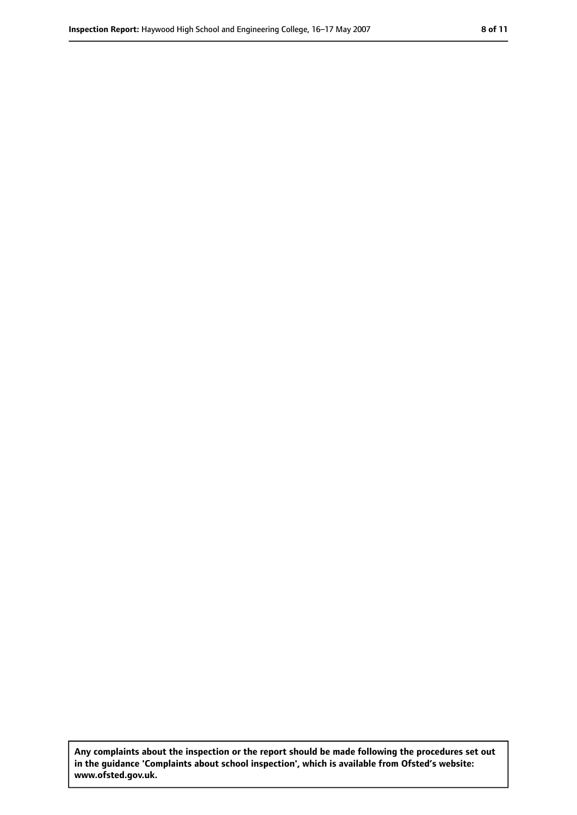**Any complaints about the inspection or the report should be made following the procedures set out in the guidance 'Complaints about school inspection', which is available from Ofsted's website: www.ofsted.gov.uk.**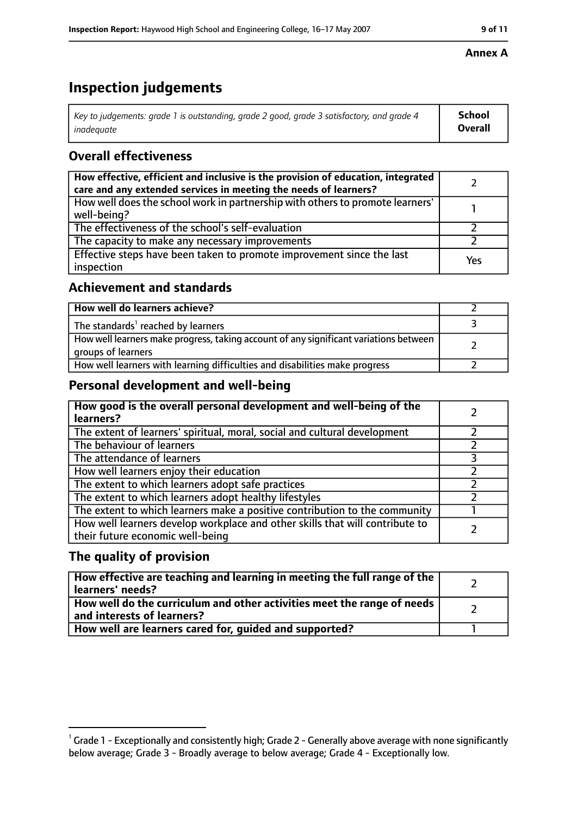# **Inspection judgements**

| Key to judgements: grade 1 is outstanding, grade 2 good, grade 3 satisfactory, and grade 4 | <b>School</b>  |
|--------------------------------------------------------------------------------------------|----------------|
| inadeauate                                                                                 | <b>Overall</b> |

## **Overall effectiveness**

| How effective, efficient and inclusive is the provision of education, integrated<br>care and any extended services in meeting the needs of learners? |     |
|------------------------------------------------------------------------------------------------------------------------------------------------------|-----|
| How well does the school work in partnership with others to promote learners'<br>well-being?                                                         |     |
| The effectiveness of the school's self-evaluation                                                                                                    |     |
| The capacity to make any necessary improvements                                                                                                      |     |
| Effective steps have been taken to promote improvement since the last<br>inspection                                                                  | Yes |

#### **Achievement and standards**

| How well do learners achieve?                                                                               |  |
|-------------------------------------------------------------------------------------------------------------|--|
| The standards <sup>1</sup> reached by learners                                                              |  |
| How well learners make progress, taking account of any significant variations between<br>groups of learners |  |
| How well learners with learning difficulties and disabilities make progress                                 |  |

#### **Personal development and well-being**

| How good is the overall personal development and well-being of the<br>learners?                                  |  |
|------------------------------------------------------------------------------------------------------------------|--|
| The extent of learners' spiritual, moral, social and cultural development                                        |  |
| The behaviour of learners                                                                                        |  |
| The attendance of learners                                                                                       |  |
| How well learners enjoy their education                                                                          |  |
| The extent to which learners adopt safe practices                                                                |  |
| The extent to which learners adopt healthy lifestyles                                                            |  |
| The extent to which learners make a positive contribution to the community                                       |  |
| How well learners develop workplace and other skills that will contribute to<br>their future economic well-being |  |

#### **The quality of provision**

| How effective are teaching and learning in meeting the full range of the<br>learners' needs?          |  |
|-------------------------------------------------------------------------------------------------------|--|
| How well do the curriculum and other activities meet the range of needs<br>and interests of learners? |  |
| How well are learners cared for, quided and supported?                                                |  |

#### **Annex A**

 $^1$  Grade 1 - Exceptionally and consistently high; Grade 2 - Generally above average with none significantly below average; Grade 3 - Broadly average to below average; Grade 4 - Exceptionally low.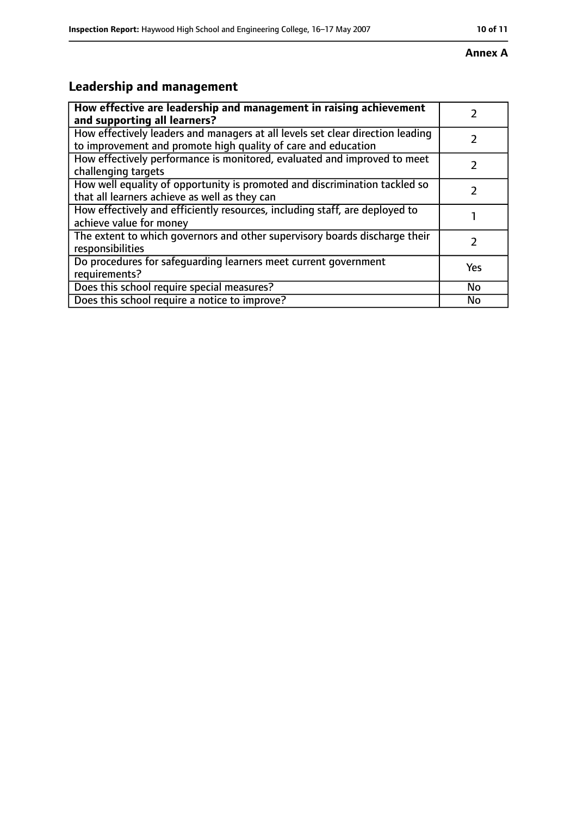#### **Annex A**

# **Leadership and management**

| How effective are leadership and management in raising achievement                                                                              |     |
|-------------------------------------------------------------------------------------------------------------------------------------------------|-----|
| and supporting all learners?                                                                                                                    |     |
| How effectively leaders and managers at all levels set clear direction leading<br>to improvement and promote high quality of care and education |     |
| How effectively performance is monitored, evaluated and improved to meet<br>challenging targets                                                 |     |
| How well equality of opportunity is promoted and discrimination tackled so<br>that all learners achieve as well as they can                     |     |
| How effectively and efficiently resources, including staff, are deployed to<br>achieve value for money                                          |     |
| The extent to which governors and other supervisory boards discharge their<br>responsibilities                                                  | 7   |
| Do procedures for safequarding learners meet current government<br>requirements?                                                                | Yes |
| Does this school require special measures?                                                                                                      | No  |
| Does this school require a notice to improve?                                                                                                   | No  |